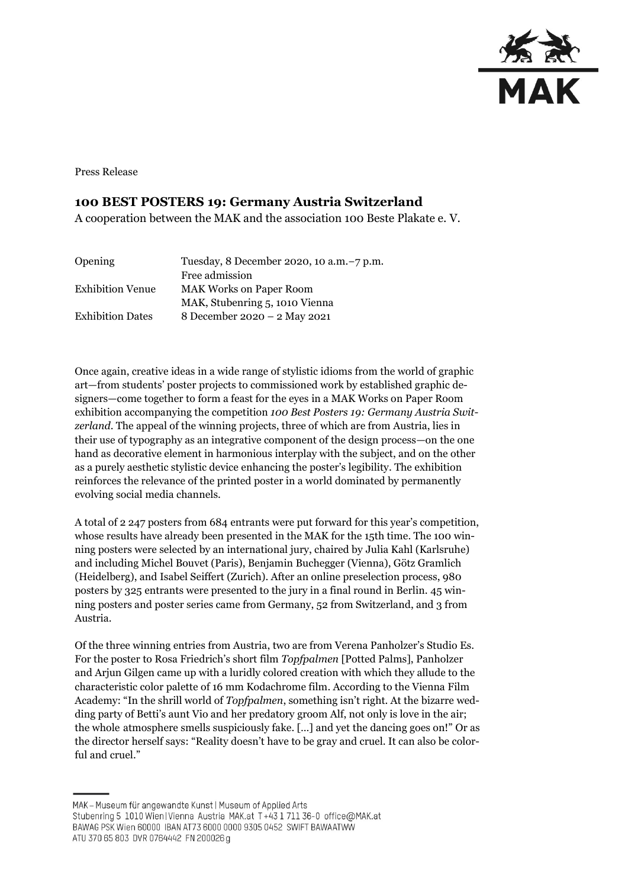

Press Release

## **100 BEST POSTERS 19: Germany Austria Switzerland**

A cooperation between the MAK and the association 100 Beste Plakate e. V.

| <b>Opening</b>          | Tuesday, 8 December 2020, 10 a.m. -7 p.m. |
|-------------------------|-------------------------------------------|
|                         | Free admission                            |
| <b>Exhibition Venue</b> | <b>MAK Works on Paper Room</b>            |
|                         | MAK, Stubenring 5, 1010 Vienna            |
| <b>Exhibition Dates</b> | 8 December 2020 - 2 May 2021              |
|                         |                                           |

Once again, creative ideas in a wide range of stylistic idioms from the world of graphic art—from students' poster projects to commissioned work by established graphic designers—come together to form a feast for the eyes in a MAK Works on Paper Room exhibition accompanying the competition *100 Best Posters 19: Germany Austria Switzerland*. The appeal of the winning projects, three of which are from Austria, lies in their use of typography as an integrative component of the design process—on the one hand as decorative element in harmonious interplay with the subject, and on the other as a purely aesthetic stylistic device enhancing the poster's legibility. The exhibition reinforces the relevance of the printed poster in a world dominated by permanently evolving social media channels.

A total of 2 247 posters from 684 entrants were put forward for this year's competition, whose results have already been presented in the MAK for the 15th time. The 100 winning posters were selected by an international jury, chaired by Julia Kahl (Karlsruhe) and including Michel Bouvet (Paris), Benjamin Buchegger (Vienna), Götz Gramlich (Heidelberg), and Isabel Seiffert (Zurich). After an online preselection process, 980 posters by 325 entrants were presented to the jury in a final round in Berlin. 45 winning posters and poster series came from Germany, 52 from Switzerland, and 3 from Austria.

Of the three winning entries from Austria, two are from Verena Panholzer's Studio Es. For the poster to Rosa Friedrich's short film *Topfpalmen* [Potted Palms], Panholzer and Arjun Gilgen came up with a luridly colored creation with which they allude to the characteristic color palette of 16 mm Kodachrome film. According to the Vienna Film Academy: "In the shrill world of *Topfpalmen*, something isn't right. At the bizarre wedding party of Betti's aunt Vio and her predatory groom Alf, not only is love in the air; the whole atmosphere smells suspiciously fake. […] and yet the dancing goes on!" Or as the director herself says: "Reality doesn't have to be gray and cruel. It can also be colorful and cruel."

MAK - Museum für angewandte Kunst | Museum of Applied Arts Stubenring 5 1010 Wien | Vienna Austria MAK.at T+43 1 711 36-0 office@MAK.at BAWAG PSK Wien 60000 IBAN AT73 6000 0000 9305 0452 SWIFT BAWAATWW ATU 370 65 803 DVR 0764442 FN 200026 g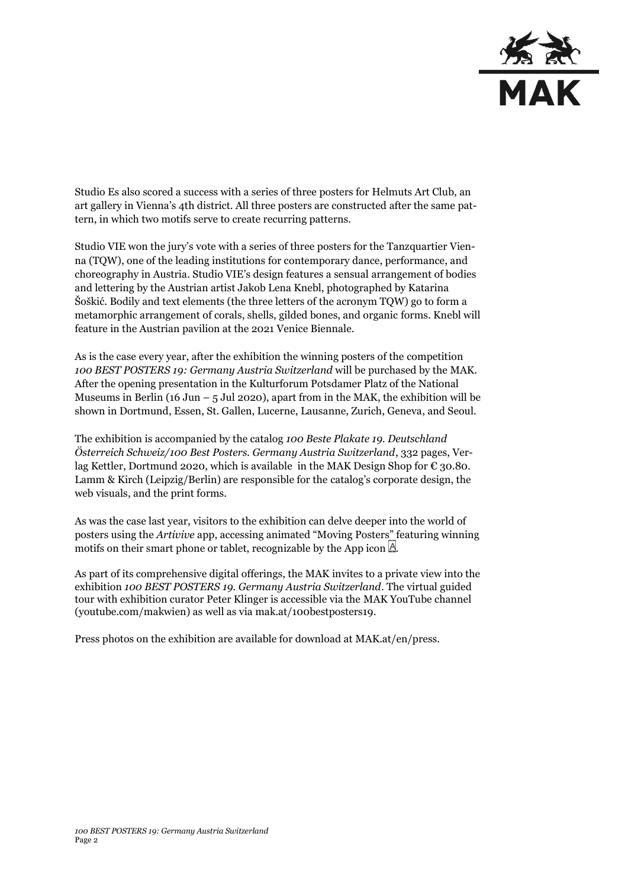

Studio Es also scored a success with a series of three posters for Helmuts Art Club, an art gallery in Vienna's 4th district. All three posters are constructed after the same pattern, in which two motifs serve to create recurring patterns.

Studio VIE won the jury's vote with a series of three posters for the Tanzquartier Vienna (TQW), one of the leading institutions for contemporary dance, performance, and choreography in Austria. Studio VIE's design features a sensual arrangement of bodies and lettering by the Austrian artist Jakob Lena Knebl, photographed by Katarina Šoškić. Bodily and text elements (the three letters of the acronym TQW) go to form a metamorphic arrangement of corals, shells, gilded bones, and organic forms. Knebl will feature in the Austrian pavilion at the 2021 Venice Biennale.

As is the case every year, after the exhibition the winning posters of the competition *100 BEST POSTERS 19: Germany Austria Switzerland* will be purchased by the MAK. After the opening presentation in the Kulturforum Potsdamer Platz of the National Museums in Berlin (16 Jun –  $5$  Jul 2020), apart from in the MAK, the exhibition will be shown in Dortmund, Essen, St. Gallen, Lucerne, Lausanne, Zurich, Geneva, and Seoul.

The exhibition is accompanied by the catalog *100 Beste Plakate 19. Deutschland Österreich Schweiz/100 Best Posters. Germany Austria Switzerland*, 332 pages, Verlag Kettler, Dortmund 2020, which is available in the MAK Design Shop for  $\epsilon$  30.80. Lamm & Kirch (Leipzig/Berlin) are responsible for the catalog's corporate design, the web visuals, and the print forms.

As was the case last year, visitors to the exhibition can delve deeper into the world of posters using the *Artivive* app, accessing animated "Moving Posters" featuring winning motifs on their smart phone or tablet, recognizable by the App icon  $\mathbb A$ .

As part of its comprehensive digital offerings, the MAK invites to a private view into the exhibition *100 BEST POSTERS 19. Germany Austria Switzerland*. The virtual guided tour with exhibition curator Peter Klinger is accessible via the MAK YouTube channel [\(youtube.com/makwien\)](https://www.youtube.com/makwien) as well as via [mak.at/100bestposters19.](https://www.mak.at/100bestposters19)

Press photos on the exhibition are available for download at MAK.at/en/press.